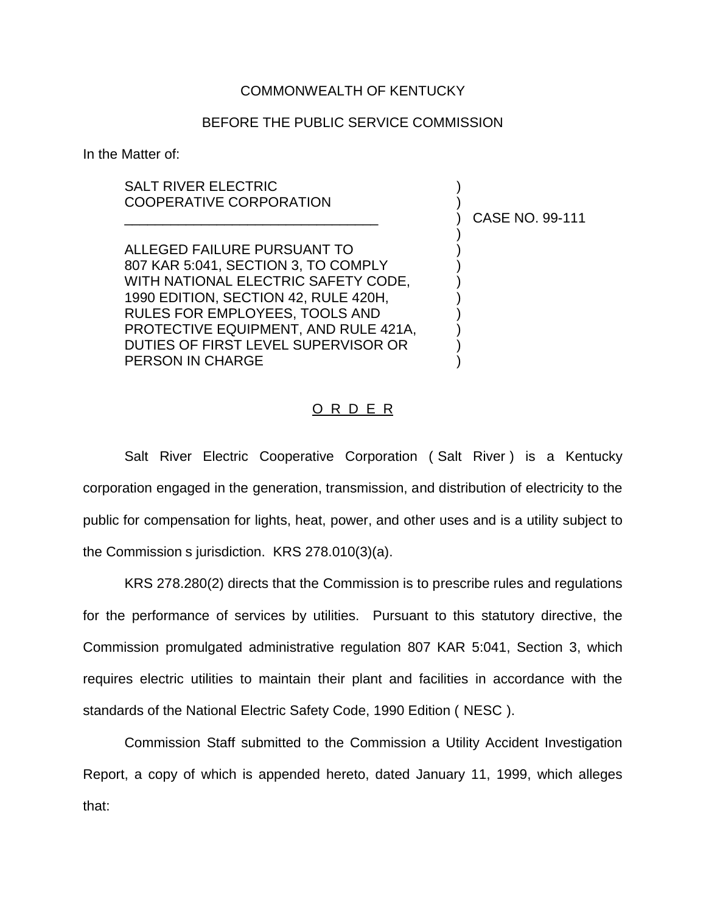## COMMONWEALTH OF KENTUCKY

## BEFORE THE PUBLIC SERVICE COMMISSION

In the Matter of:

## SALT RIVER ELECTRIC COOPERATIVE CORPORATION

ALLEGED FAILURE PURSUANT TO ) 807 KAR 5:041, SECTION 3, TO COMPLY WITH NATIONAL ELECTRIC SAFETY CODE, 1990 EDITION, SECTION 42, RULE 420H, ) RULES FOR EMPLOYEES, TOOLS AND ) PROTECTIVE EQUIPMENT, AND RULE 421A, DUTIES OF FIRST LEVEL SUPERVISOR OR ) PERSON IN CHARGE

\_\_\_\_\_\_\_\_\_\_\_\_\_\_\_\_\_\_\_\_\_\_\_\_\_\_\_\_\_\_\_\_\_ ) CASE NO. 99-111

)

## <u>O R D E R</u>

Salt River Electric Cooperative Corporation ( Salt River ) is a Kentucky corporation engaged in the generation, transmission, and distribution of electricity to the public for compensation for lights, heat, power, and other uses and is a utility subject to the Commission s jurisdiction. KRS 278.010(3)(a).

KRS 278.280(2) directs that the Commission is to prescribe rules and regulations for the performance of services by utilities. Pursuant to this statutory directive, the Commission promulgated administrative regulation 807 KAR 5:041, Section 3, which requires electric utilities to maintain their plant and facilities in accordance with the standards of the National Electric Safety Code, 1990 Edition ( NESC ).

Commission Staff submitted to the Commission a Utility Accident Investigation Report, a copy of which is appended hereto, dated January 11, 1999, which alleges that: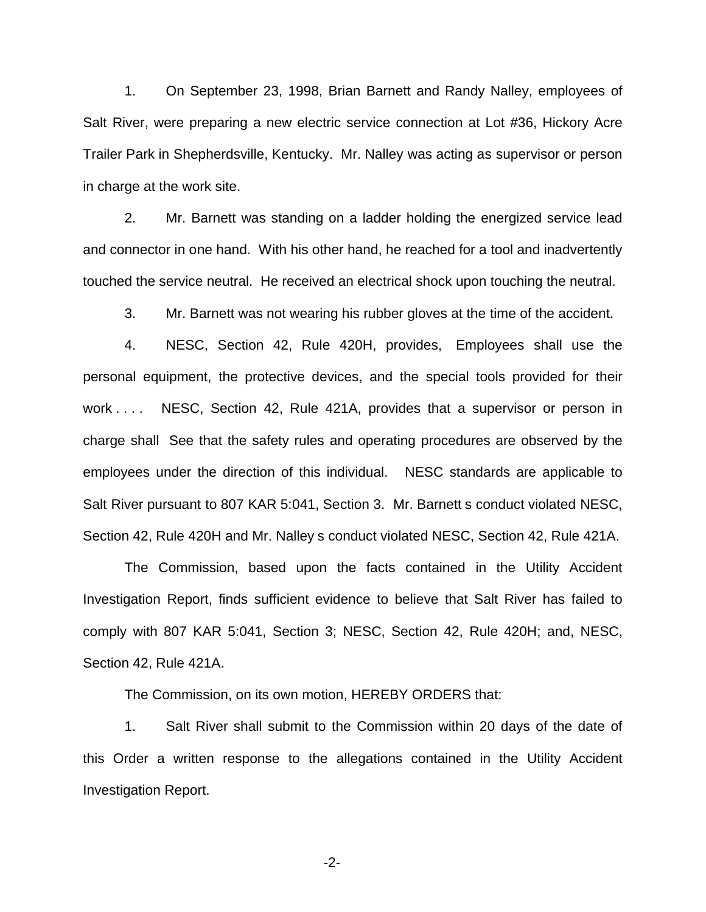1. On September 23, 1998, Brian Barnett and Randy Nalley, employees of Salt River, were preparing a new electric service connection at Lot #36, Hickory Acre Trailer Park in Shepherdsville, Kentucky. Mr. Nalley was acting as supervisor or person in charge at the work site.

2. Mr. Barnett was standing on a ladder holding the energized service lead and connector in one hand. With his other hand, he reached for a tool and inadvertently touched the service neutral. He received an electrical shock upon touching the neutral.

3. Mr. Barnett was not wearing his rubber gloves at the time of the accident.

4. NESC, Section 42, Rule 420H, provides, Employees shall use the personal equipment, the protective devices, and the special tools provided for their work . . . . NESC, Section 42, Rule 421A, provides that a supervisor or person in charge shall See that the safety rules and operating procedures are observed by the employees under the direction of this individual. NESC standards are applicable to Salt River pursuant to 807 KAR 5:041, Section 3. Mr. Barnett s conduct violated NESC, Section 42, Rule 420H and Mr. Nalley s conduct violated NESC, Section 42, Rule 421A.

The Commission, based upon the facts contained in the Utility Accident Investigation Report, finds sufficient evidence to believe that Salt River has failed to comply with 807 KAR 5:041, Section 3; NESC, Section 42, Rule 420H; and, NESC, Section 42, Rule 421A.

The Commission, on its own motion, HEREBY ORDERS that:

1. Salt River shall submit to the Commission within 20 days of the date of this Order a written response to the allegations contained in the Utility Accident Investigation Report.

-2-